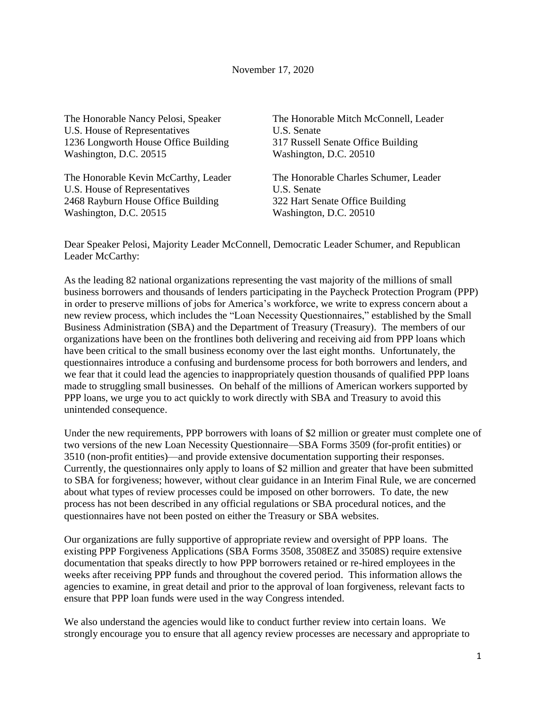The Honorable Nancy Pelosi, Speaker U.S. House of Representatives 1236 Longworth House Office Building Washington, D.C. 20515

The Honorable Kevin McCarthy, Leader U.S. House of Representatives 2468 Rayburn House Office Building Washington, D.C. 20515

The Honorable Mitch McConnell, Leader U.S. Senate 317 Russell Senate Office Building Washington, D.C. 20510

The Honorable Charles Schumer, Leader U.S. Senate 322 Hart Senate Office Building Washington, D.C. 20510

Dear Speaker Pelosi, Majority Leader McConnell, Democratic Leader Schumer, and Republican Leader McCarthy:

As the leading 82 national organizations representing the vast majority of the millions of small business borrowers and thousands of lenders participating in the Paycheck Protection Program (PPP) in order to preserve millions of jobs for America's workforce, we write to express concern about a new review process, which includes the "Loan Necessity Questionnaires," established by the Small Business Administration (SBA) and the Department of Treasury (Treasury). The members of our organizations have been on the frontlines both delivering and receiving aid from PPP loans which have been critical to the small business economy over the last eight months. Unfortunately, the questionnaires introduce a confusing and burdensome process for both borrowers and lenders, and we fear that it could lead the agencies to inappropriately question thousands of qualified PPP loans made to struggling small businesses. On behalf of the millions of American workers supported by PPP loans, we urge you to act quickly to work directly with SBA and Treasury to avoid this unintended consequence.

Under the new requirements, PPP borrowers with loans of \$2 million or greater must complete one of two versions of the new Loan Necessity Questionnaire—SBA Forms 3509 (for-profit entities) or 3510 (non-profit entities)—and provide extensive documentation supporting their responses. Currently, the questionnaires only apply to loans of \$2 million and greater that have been submitted to SBA for forgiveness; however, without clear guidance in an Interim Final Rule, we are concerned about what types of review processes could be imposed on other borrowers. To date, the new process has not been described in any official regulations or SBA procedural notices, and the questionnaires have not been posted on either the Treasury or SBA websites.

Our organizations are fully supportive of appropriate review and oversight of PPP loans. The existing PPP Forgiveness Applications (SBA Forms 3508, 3508EZ and 3508S) require extensive documentation that speaks directly to how PPP borrowers retained or re-hired employees in the weeks after receiving PPP funds and throughout the covered period. This information allows the agencies to examine, in great detail and prior to the approval of loan forgiveness, relevant facts to ensure that PPP loan funds were used in the way Congress intended.

We also understand the agencies would like to conduct further review into certain loans. We strongly encourage you to ensure that all agency review processes are necessary and appropriate to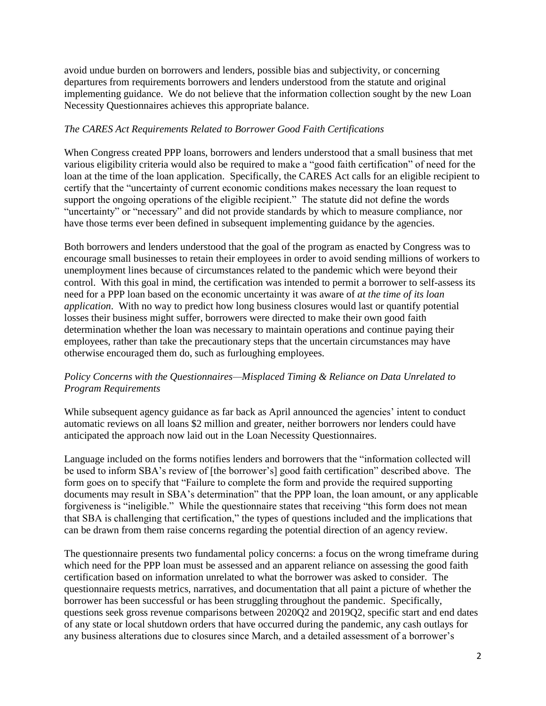avoid undue burden on borrowers and lenders, possible bias and subjectivity, or concerning departures from requirements borrowers and lenders understood from the statute and original implementing guidance. We do not believe that the information collection sought by the new Loan Necessity Questionnaires achieves this appropriate balance.

# *The CARES Act Requirements Related to Borrower Good Faith Certifications*

When Congress created PPP loans, borrowers and lenders understood that a small business that met various eligibility criteria would also be required to make a "good faith certification" of need for the loan at the time of the loan application. Specifically, the CARES Act calls for an eligible recipient to certify that the "uncertainty of current economic conditions makes necessary the loan request to support the ongoing operations of the eligible recipient." The statute did not define the words "uncertainty" or "necessary" and did not provide standards by which to measure compliance, nor have those terms ever been defined in subsequent implementing guidance by the agencies.

Both borrowers and lenders understood that the goal of the program as enacted by Congress was to encourage small businesses to retain their employees in order to avoid sending millions of workers to unemployment lines because of circumstances related to the pandemic which were beyond their control. With this goal in mind, the certification was intended to permit a borrower to self-assess its need for a PPP loan based on the economic uncertainty it was aware of *at the time of its loan application*. With no way to predict how long business closures would last or quantify potential losses their business might suffer, borrowers were directed to make their own good faith determination whether the loan was necessary to maintain operations and continue paying their employees, rather than take the precautionary steps that the uncertain circumstances may have otherwise encouraged them do, such as furloughing employees.

# *Policy Concerns with the Questionnaires—Misplaced Timing & Reliance on Data Unrelated to Program Requirements*

While subsequent agency guidance as far back as April announced the agencies' intent to conduct automatic reviews on all loans \$2 million and greater, neither borrowers nor lenders could have anticipated the approach now laid out in the Loan Necessity Questionnaires.

Language included on the forms notifies lenders and borrowers that the "information collected will be used to inform SBA's review of [the borrower's] good faith certification" described above. The form goes on to specify that "Failure to complete the form and provide the required supporting documents may result in SBA's determination" that the PPP loan, the loan amount, or any applicable forgiveness is "ineligible." While the questionnaire states that receiving "this form does not mean that SBA is challenging that certification," the types of questions included and the implications that can be drawn from them raise concerns regarding the potential direction of an agency review.

The questionnaire presents two fundamental policy concerns: a focus on the wrong timeframe during which need for the PPP loan must be assessed and an apparent reliance on assessing the good faith certification based on information unrelated to what the borrower was asked to consider. The questionnaire requests metrics, narratives, and documentation that all paint a picture of whether the borrower has been successful or has been struggling throughout the pandemic. Specifically, questions seek gross revenue comparisons between 2020Q2 and 2019Q2, specific start and end dates of any state or local shutdown orders that have occurred during the pandemic, any cash outlays for any business alterations due to closures since March, and a detailed assessment of a borrower's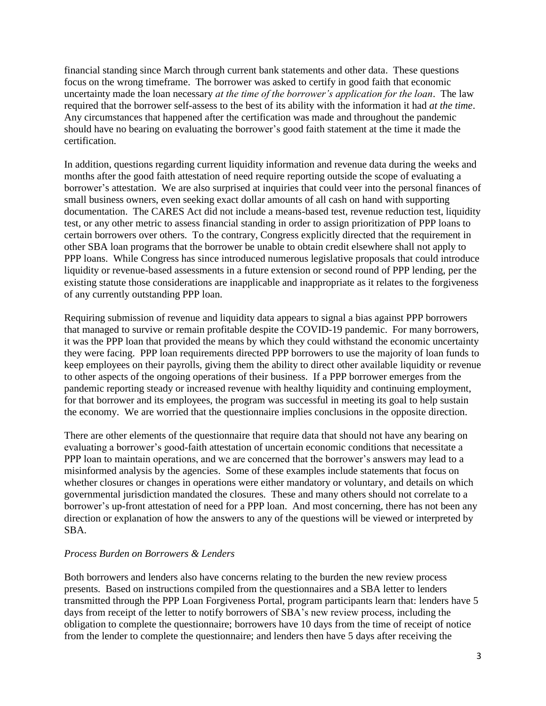financial standing since March through current bank statements and other data. These questions focus on the wrong timeframe. The borrower was asked to certify in good faith that economic uncertainty made the loan necessary *at the time of the borrower's application for the loan*. The law required that the borrower self-assess to the best of its ability with the information it had *at the time*. Any circumstances that happened after the certification was made and throughout the pandemic should have no bearing on evaluating the borrower's good faith statement at the time it made the certification.

In addition, questions regarding current liquidity information and revenue data during the weeks and months after the good faith attestation of need require reporting outside the scope of evaluating a borrower's attestation. We are also surprised at inquiries that could veer into the personal finances of small business owners, even seeking exact dollar amounts of all cash on hand with supporting documentation. The CARES Act did not include a means-based test, revenue reduction test, liquidity test, or any other metric to assess financial standing in order to assign prioritization of PPP loans to certain borrowers over others. To the contrary, Congress explicitly directed that the requirement in other SBA loan programs that the borrower be unable to obtain credit elsewhere shall not apply to PPP loans. While Congress has since introduced numerous legislative proposals that could introduce liquidity or revenue-based assessments in a future extension or second round of PPP lending, per the existing statute those considerations are inapplicable and inappropriate as it relates to the forgiveness of any currently outstanding PPP loan.

Requiring submission of revenue and liquidity data appears to signal a bias against PPP borrowers that managed to survive or remain profitable despite the COVID-19 pandemic. For many borrowers, it was the PPP loan that provided the means by which they could withstand the economic uncertainty they were facing. PPP loan requirements directed PPP borrowers to use the majority of loan funds to keep employees on their payrolls, giving them the ability to direct other available liquidity or revenue to other aspects of the ongoing operations of their business. If a PPP borrower emerges from the pandemic reporting steady or increased revenue with healthy liquidity and continuing employment, for that borrower and its employees, the program was successful in meeting its goal to help sustain the economy. We are worried that the questionnaire implies conclusions in the opposite direction.

There are other elements of the questionnaire that require data that should not have any bearing on evaluating a borrower's good-faith attestation of uncertain economic conditions that necessitate a PPP loan to maintain operations, and we are concerned that the borrower's answers may lead to a misinformed analysis by the agencies. Some of these examples include statements that focus on whether closures or changes in operations were either mandatory or voluntary, and details on which governmental jurisdiction mandated the closures. These and many others should not correlate to a borrower's up-front attestation of need for a PPP loan. And most concerning, there has not been any direction or explanation of how the answers to any of the questions will be viewed or interpreted by SBA.

# *Process Burden on Borrowers & Lenders*

Both borrowers and lenders also have concerns relating to the burden the new review process presents. Based on instructions compiled from the questionnaires and a SBA letter to lenders transmitted through the PPP Loan Forgiveness Portal, program participants learn that: lenders have 5 days from receipt of the letter to notify borrowers of SBA's new review process, including the obligation to complete the questionnaire; borrowers have 10 days from the time of receipt of notice from the lender to complete the questionnaire; and lenders then have 5 days after receiving the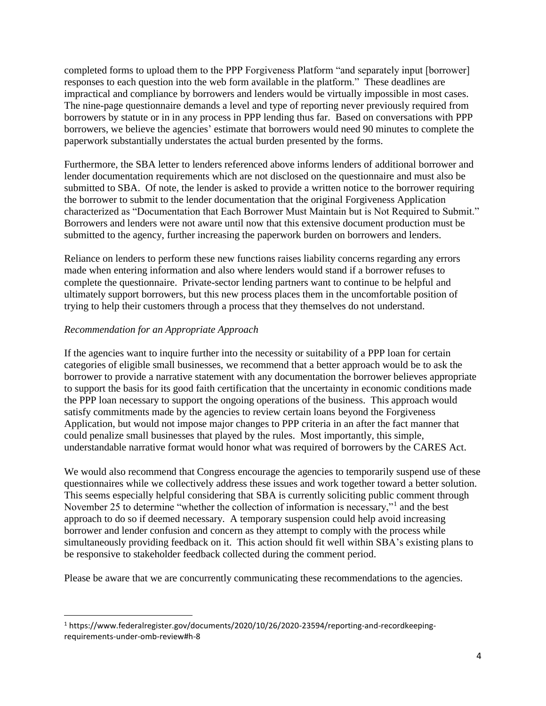completed forms to upload them to the PPP Forgiveness Platform "and separately input [borrower] responses to each question into the web form available in the platform." These deadlines are impractical and compliance by borrowers and lenders would be virtually impossible in most cases. The nine-page questionnaire demands a level and type of reporting never previously required from borrowers by statute or in in any process in PPP lending thus far. Based on conversations with PPP borrowers, we believe the agencies' estimate that borrowers would need 90 minutes to complete the paperwork substantially understates the actual burden presented by the forms.

Furthermore, the SBA letter to lenders referenced above informs lenders of additional borrower and lender documentation requirements which are not disclosed on the questionnaire and must also be submitted to SBA. Of note, the lender is asked to provide a written notice to the borrower requiring the borrower to submit to the lender documentation that the original Forgiveness Application characterized as "Documentation that Each Borrower Must Maintain but is Not Required to Submit." Borrowers and lenders were not aware until now that this extensive document production must be submitted to the agency, further increasing the paperwork burden on borrowers and lenders.

Reliance on lenders to perform these new functions raises liability concerns regarding any errors made when entering information and also where lenders would stand if a borrower refuses to complete the questionnaire. Private-sector lending partners want to continue to be helpful and ultimately support borrowers, but this new process places them in the uncomfortable position of trying to help their customers through a process that they themselves do not understand.

# *Recommendation for an Appropriate Approach*

l

If the agencies want to inquire further into the necessity or suitability of a PPP loan for certain categories of eligible small businesses, we recommend that a better approach would be to ask the borrower to provide a narrative statement with any documentation the borrower believes appropriate to support the basis for its good faith certification that the uncertainty in economic conditions made the PPP loan necessary to support the ongoing operations of the business. This approach would satisfy commitments made by the agencies to review certain loans beyond the Forgiveness Application, but would not impose major changes to PPP criteria in an after the fact manner that could penalize small businesses that played by the rules. Most importantly, this simple, understandable narrative format would honor what was required of borrowers by the CARES Act.

We would also recommend that Congress encourage the agencies to temporarily suspend use of these questionnaires while we collectively address these issues and work together toward a better solution. This seems especially helpful considering that SBA is currently soliciting public comment through November 25 to determine "whether the collection of information is necessary,"<sup>1</sup> and the best approach to do so if deemed necessary. A temporary suspension could help avoid increasing borrower and lender confusion and concern as they attempt to comply with the process while simultaneously providing feedback on it. This action should fit well within SBA's existing plans to be responsive to stakeholder feedback collected during the comment period.

Please be aware that we are concurrently communicating these recommendations to the agencies.

<sup>1</sup> https://www.federalregister.gov/documents/2020/10/26/2020-23594/reporting-and-recordkeepingrequirements-under-omb-review#h-8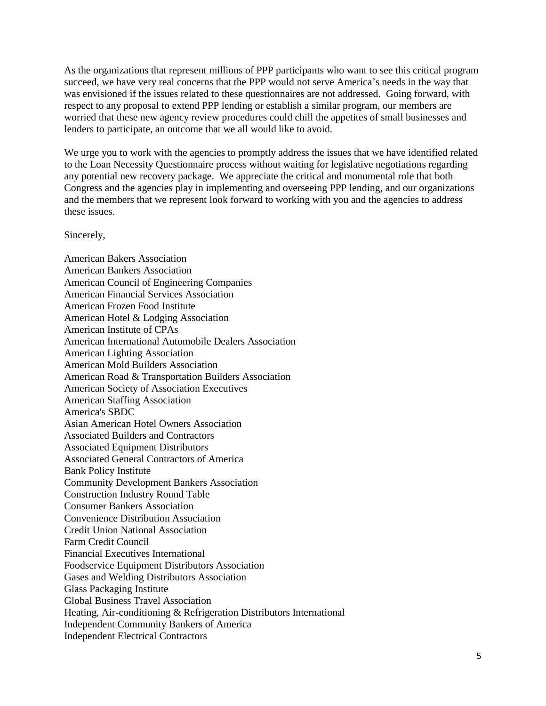As the organizations that represent millions of PPP participants who want to see this critical program succeed, we have very real concerns that the PPP would not serve America's needs in the way that was envisioned if the issues related to these questionnaires are not addressed. Going forward, with respect to any proposal to extend PPP lending or establish a similar program, our members are worried that these new agency review procedures could chill the appetites of small businesses and lenders to participate, an outcome that we all would like to avoid.

We urge you to work with the agencies to promptly address the issues that we have identified related to the Loan Necessity Questionnaire process without waiting for legislative negotiations regarding any potential new recovery package. We appreciate the critical and monumental role that both Congress and the agencies play in implementing and overseeing PPP lending, and our organizations and the members that we represent look forward to working with you and the agencies to address these issues.

Sincerely,

American Bakers Association American Bankers Association American Council of Engineering Companies American Financial Services Association American Frozen Food Institute American Hotel & Lodging Association American Institute of CPAs American International Automobile Dealers Association American Lighting Association American Mold Builders Association American Road & Transportation Builders Association American Society of Association Executives American Staffing Association America's SBDC Asian American Hotel Owners Association Associated Builders and Contractors Associated Equipment Distributors Associated General Contractors of America Bank Policy Institute Community Development Bankers Association Construction Industry Round Table Consumer Bankers Association Convenience Distribution Association Credit Union National Association Farm Credit Council Financial Executives International Foodservice Equipment Distributors Association Gases and Welding Distributors Association Glass Packaging Institute Global Business Travel Association Heating, Air-conditioning & Refrigeration Distributors International Independent Community Bankers of America Independent Electrical Contractors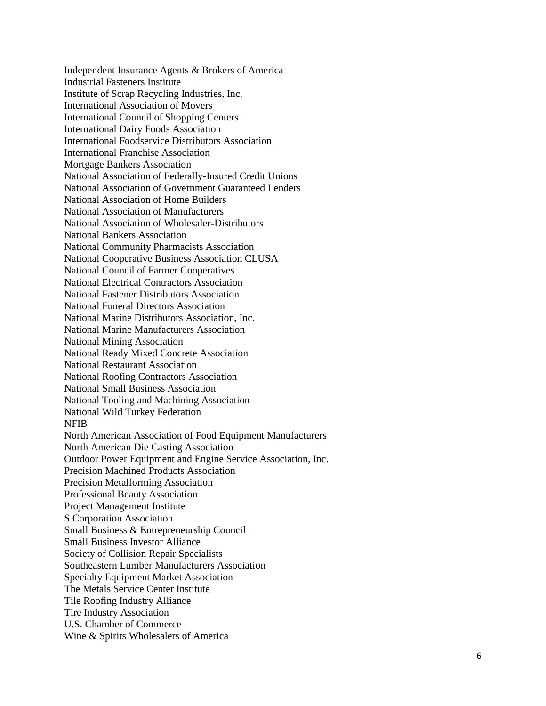Independent Insurance Agents & Brokers of America Industrial Fasteners Institute Institute of Scrap Recycling Industries, Inc. International Association of Movers International Council of Shopping Centers International Dairy Foods Association International Foodservice Distributors Association International Franchise Association Mortgage Bankers Association National Association of Federally -Insured Credit Unions National Association of Government Guaranteed Lenders National Association of Home Builders National Association of Manufacturers National Association of Wholesaler -Distributors National Bankers Association National Community Pharmacists Association National Cooperative Business Association CLUSA National Council of Farmer Cooperatives National Electrical Contractors Association National Fastener Distributors Association National Funeral Directors Association National Marine Distributors Association, Inc. National Marine Manufacturers Association National Mining Association National Ready Mixed Concrete Association National Restaurant Association National Roofing Contractors Association National Small Business Association National Tooling and Machining Association National Wild Turkey Federation NFIB North American Association of Food Equipment Manufacturers North American Die Casting Association Outdoor Power Equipment and Engine Service Association, Inc. Precision Machined Products Association Precision Metalforming Association Professional Beauty Association Project Management Institute S Corporation Association Small Business & Entrepreneurship Council Small Business Investor Alliance Society of Collision Repair Specialists Southeastern Lumber Manufacturers Association Specialty Equipment Market Association The Metals Service Center Institute Tile Roofing Industry Alliance Tire Industry Association U.S. Chamber of Commerce Wine & Spirits Wholesalers of America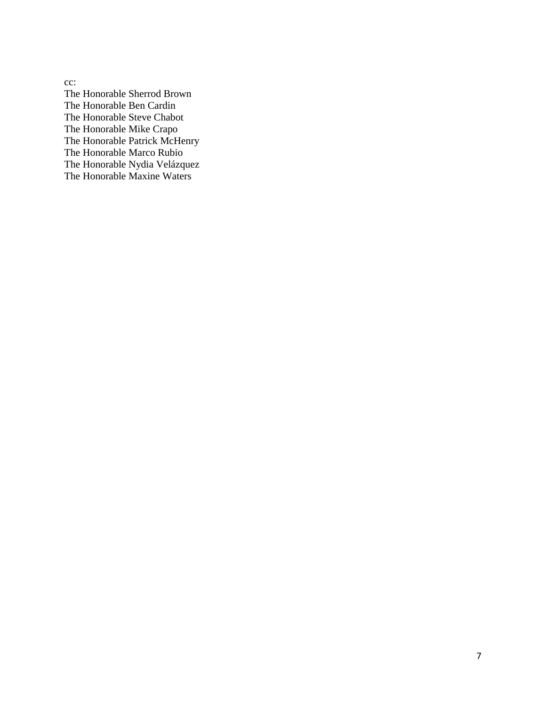cc: The Honorable Sherrod Brown The Honorable Ben Cardin The Honorable Steve Chabot The Honorable Mike Crapo The Honorable Patrick McHenry The Honorable Marco Rubio The Honorable Nydia Velázquez The Honorable Maxine Waters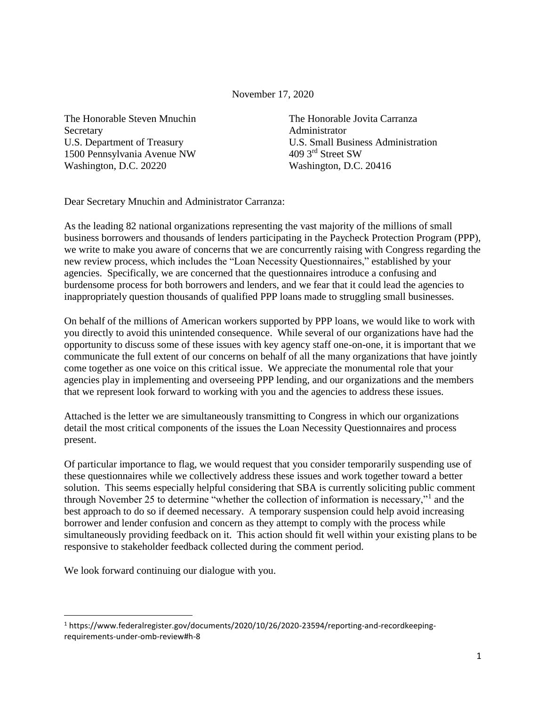November 17, 2020

The Honorable Steven Mnuchin The Honorable Jovita Carranza Secretary **Administrator** 1500 Pennsylvania Avenue NW 409 3rd Street SW Washington, D.C. 20220 Washington, D.C. 20416

U.S. Department of Treasury U.S. Small Business Administration

Dear Secretary Mnuchin and Administrator Carranza:

As the leading 82 national organizations representing the vast majority of the millions of small business borrowers and thousands of lenders participating in the Paycheck Protection Program (PPP), we write to make you aware of concerns that we are concurrently raising with Congress regarding the new review process, which includes the "Loan Necessity Questionnaires," established by your agencies. Specifically, we are concerned that the questionnaires introduce a confusing and burdensome process for both borrowers and lenders, and we fear that it could lead the agencies to inappropriately question thousands of qualified PPP loans made to struggling small businesses.

On behalf of the millions of American workers supported by PPP loans, we would like to work with you directly to avoid this unintended consequence. While several of our organizations have had the opportunity to discuss some of these issues with key agency staff one-on-one, it is important that we communicate the full extent of our concerns on behalf of all the many organizations that have jointly come together as one voice on this critical issue. We appreciate the monumental role that your agencies play in implementing and overseeing PPP lending, and our organizations and the members that we represent look forward to working with you and the agencies to address these issues.

Attached is the letter we are simultaneously transmitting to Congress in which our organizations detail the most critical components of the issues the Loan Necessity Questionnaires and process present.

Of particular importance to flag, we would request that you consider temporarily suspending use of these questionnaires while we collectively address these issues and work together toward a better solution. This seems especially helpful considering that SBA is currently soliciting public comment through November 25 to determine "whether the collection of information is necessary,"<sup>1</sup> and the best approach to do so if deemed necessary. A temporary suspension could help avoid increasing borrower and lender confusion and concern as they attempt to comply with the process while simultaneously providing feedback on it. This action should fit well within your existing plans to be responsive to stakeholder feedback collected during the comment period.

We look forward continuing our dialogue with you.

l

<sup>1</sup> https://www.federalregister.gov/documents/2020/10/26/2020-23594/reporting-and-recordkeepingrequirements-under-omb-review#h-8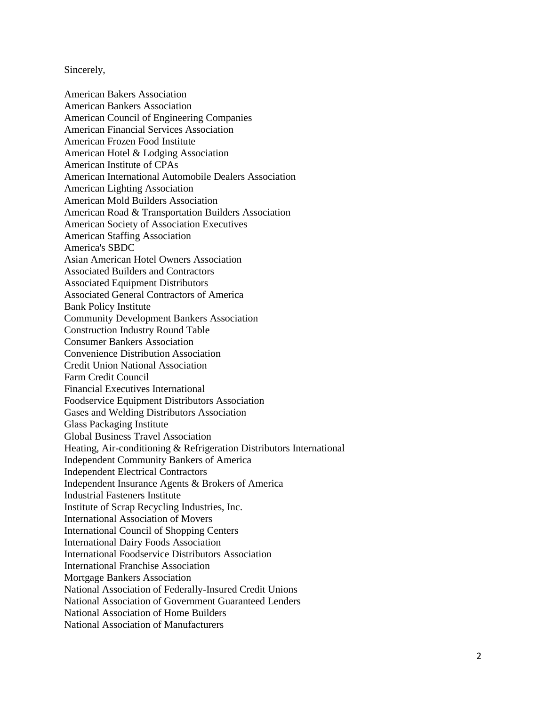#### Sincerely,

American Bakers Association American Bankers Association American Council of Engineering Companies American Financial Services Association American Frozen Food Institute American Hotel & Lodging Association American Institute of CPAs American International Automobile Dealers Association American Lighting Association American Mold Builders Association American Road & Transportation Builders Association American Society of Association Executives American Staffing Association America's SBDC Asian American Hotel Owners Association Associated Builders and Contractors Associated Equipment Distributors Associated General Contractors of America Bank Policy Institute Community Development Bankers Association Construction Industry Round Table Consumer Bankers Association Convenience Distribution Association Credit Union National Association Farm Credit Council Financial Executives International Foodservice Equipment Distributors Association Gases and Welding Distributors Association Glass Packaging Institute Global Business Travel Association Heating, Air-conditioning & Refrigeration Distributors International Independent Community Bankers of America Independent Electrical Contractors Independent Insurance Agents & Brokers of America Industrial Fasteners Institute Institute of Scrap Recycling Industries, Inc. International Association of Movers International Council of Shopping Centers International Dairy Foods Association International Foodservice Distributors Association International Franchise Association Mortgage Bankers Association National Association of Federally-Insured Credit Unions National Association of Government Guaranteed Lenders National Association of Home Builders National Association of Manufacturers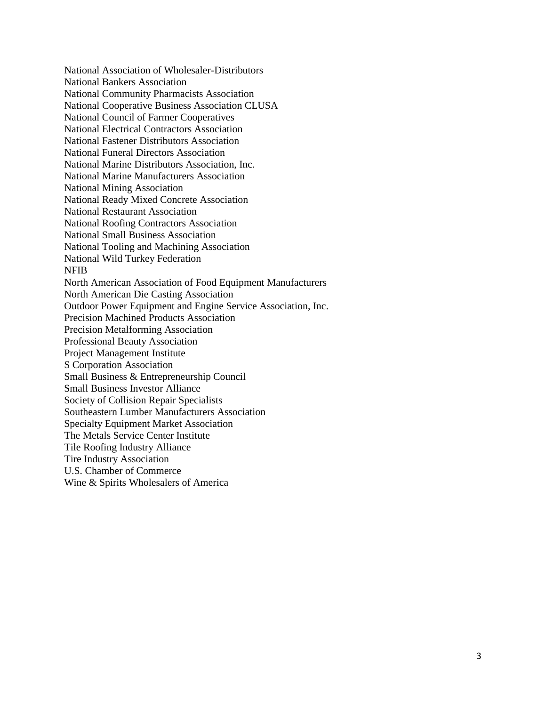National Association of Wholesaler-Distributors National Bankers Association National Community Pharmacists Association National Cooperative Business Association CLUSA National Council of Farmer Cooperatives National Electrical Contractors Association National Fastener Distributors Association National Funeral Directors Association National Marine Distributors Association, Inc. National Marine Manufacturers Association National Mining Association National Ready Mixed Concrete Association National Restaurant Association National Roofing Contractors Association National Small Business Association National Tooling and Machining Association National Wild Turkey Federation NFIB North American Association of Food Equipment Manufacturers North American Die Casting Association Outdoor Power Equipment and Engine Service Association, Inc. Precision Machined Products Association Precision Metalforming Association Professional Beauty Association Project Management Institute S Corporation Association Small Business & Entrepreneurship Council Small Business Investor Alliance Society of Collision Repair Specialists Southeastern Lumber Manufacturers Association Specialty Equipment Market Association The Metals Service Center Institute Tile Roofing Industry Alliance Tire Industry Association U.S. Chamber of Commerce Wine & Spirits Wholesalers of America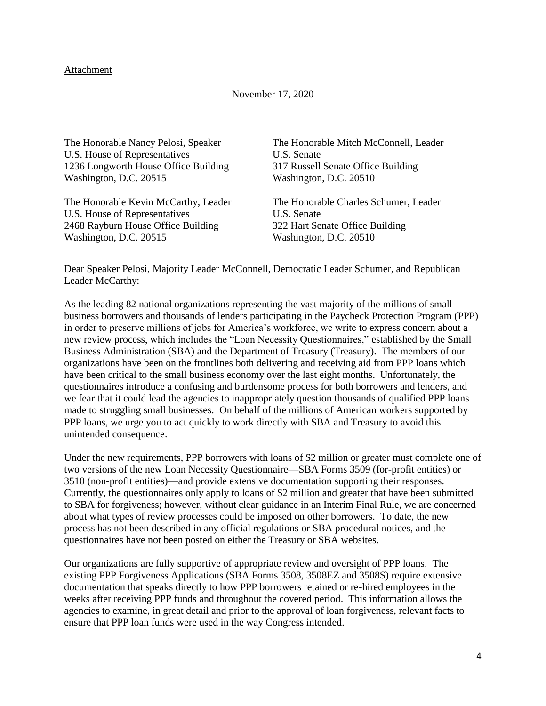#### Attachment

#### November 17, 2020

The Honorable Nancy Pelosi, Speaker U.S. House of Representatives 1236 Longworth House Office Building Washington, D.C. 20515

The Honorable Kevin McCarthy, Leader U.S. House of Representatives 2468 Rayburn House Office Building Washington, D.C. 20515

The Honorable Mitch McConnell, Leader U.S. Senate 317 Russell Senate Office Building Washington, D.C. 20510

The Honorable Charles Schumer, Leader U.S. Senate 322 Hart Senate Office Building Washington, D.C. 20510

Dear Speaker Pelosi, Majority Leader McConnell, Democratic Leader Schumer, and Republican Leader McCarthy:

As the leading 82 national organizations representing the vast majority of the millions of small business borrowers and thousands of lenders participating in the Paycheck Protection Program (PPP) in order to preserve millions of jobs for America's workforce, we write to express concern about a new review process, which includes the "Loan Necessity Questionnaires," established by the Small Business Administration (SBA) and the Department of Treasury (Treasury). The members of our organizations have been on the frontlines both delivering and receiving aid from PPP loans which have been critical to the small business economy over the last eight months. Unfortunately, the questionnaires introduce a confusing and burdensome process for both borrowers and lenders, and we fear that it could lead the agencies to inappropriately question thousands of qualified PPP loans made to struggling small businesses. On behalf of the millions of American workers supported by PPP loans, we urge you to act quickly to work directly with SBA and Treasury to avoid this unintended consequence.

Under the new requirements, PPP borrowers with loans of \$2 million or greater must complete one of two versions of the new Loan Necessity Questionnaire—SBA Forms 3509 (for-profit entities) or 3510 (non-profit entities)—and provide extensive documentation supporting their responses. Currently, the questionnaires only apply to loans of \$2 million and greater that have been submitted to SBA for forgiveness; however, without clear guidance in an Interim Final Rule, we are concerned about what types of review processes could be imposed on other borrowers. To date, the new process has not been described in any official regulations or SBA procedural notices, and the questionnaires have not been posted on either the Treasury or SBA websites.

Our organizations are fully supportive of appropriate review and oversight of PPP loans. The existing PPP Forgiveness Applications (SBA Forms 3508, 3508EZ and 3508S) require extensive documentation that speaks directly to how PPP borrowers retained or re-hired employees in the weeks after receiving PPP funds and throughout the covered period. This information allows the agencies to examine, in great detail and prior to the approval of loan forgiveness, relevant facts to ensure that PPP loan funds were used in the way Congress intended.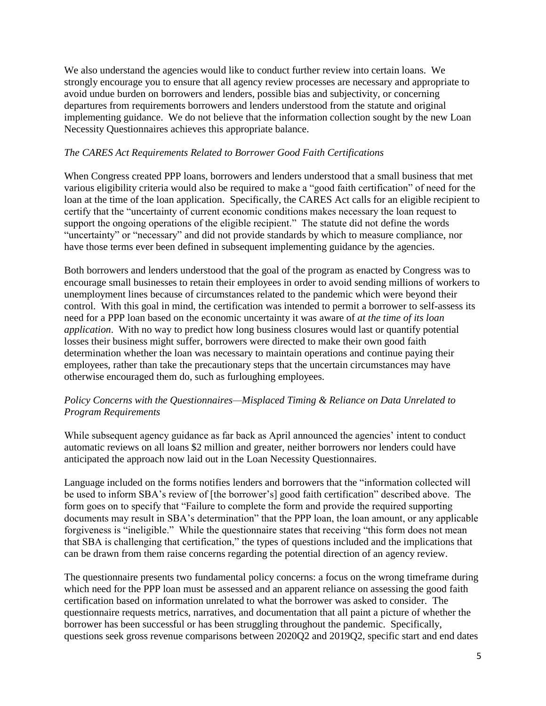We also understand the agencies would like to conduct further review into certain loans. We strongly encourage you to ensure that all agency review processes are necessary and appropriate to avoid undue burden on borrowers and lenders, possible bias and subjectivity, or concerning departures from requirements borrowers and lenders understood from the statute and original implementing guidance. We do not believe that the information collection sought by the new Loan Necessity Questionnaires achieves this appropriate balance.

### *The CARES Act Requirements Related to Borrower Good Faith Certifications*

When Congress created PPP loans, borrowers and lenders understood that a small business that met various eligibility criteria would also be required to make a "good faith certification" of need for the loan at the time of the loan application. Specifically, the CARES Act calls for an eligible recipient to certify that the "uncertainty of current economic conditions makes necessary the loan request to support the ongoing operations of the eligible recipient." The statute did not define the words "uncertainty" or "necessary" and did not provide standards by which to measure compliance, nor have those terms ever been defined in subsequent implementing guidance by the agencies.

Both borrowers and lenders understood that the goal of the program as enacted by Congress was to encourage small businesses to retain their employees in order to avoid sending millions of workers to unemployment lines because of circumstances related to the pandemic which were beyond their control. With this goal in mind, the certification was intended to permit a borrower to self-assess its need for a PPP loan based on the economic uncertainty it was aware of *at the time of its loan application*. With no way to predict how long business closures would last or quantify potential losses their business might suffer, borrowers were directed to make their own good faith determination whether the loan was necessary to maintain operations and continue paying their employees, rather than take the precautionary steps that the uncertain circumstances may have otherwise encouraged them do, such as furloughing employees.

# *Policy Concerns with the Questionnaires—Misplaced Timing & Reliance on Data Unrelated to Program Requirements*

While subsequent agency guidance as far back as April announced the agencies' intent to conduct automatic reviews on all loans \$2 million and greater, neither borrowers nor lenders could have anticipated the approach now laid out in the Loan Necessity Questionnaires.

Language included on the forms notifies lenders and borrowers that the "information collected will be used to inform SBA's review of [the borrower's] good faith certification" described above. The form goes on to specify that "Failure to complete the form and provide the required supporting documents may result in SBA's determination" that the PPP loan, the loan amount, or any applicable forgiveness is "ineligible." While the questionnaire states that receiving "this form does not mean that SBA is challenging that certification," the types of questions included and the implications that can be drawn from them raise concerns regarding the potential direction of an agency review.

The questionnaire presents two fundamental policy concerns: a focus on the wrong timeframe during which need for the PPP loan must be assessed and an apparent reliance on assessing the good faith certification based on information unrelated to what the borrower was asked to consider. The questionnaire requests metrics, narratives, and documentation that all paint a picture of whether the borrower has been successful or has been struggling throughout the pandemic. Specifically, questions seek gross revenue comparisons between 2020Q2 and 2019Q2, specific start and end dates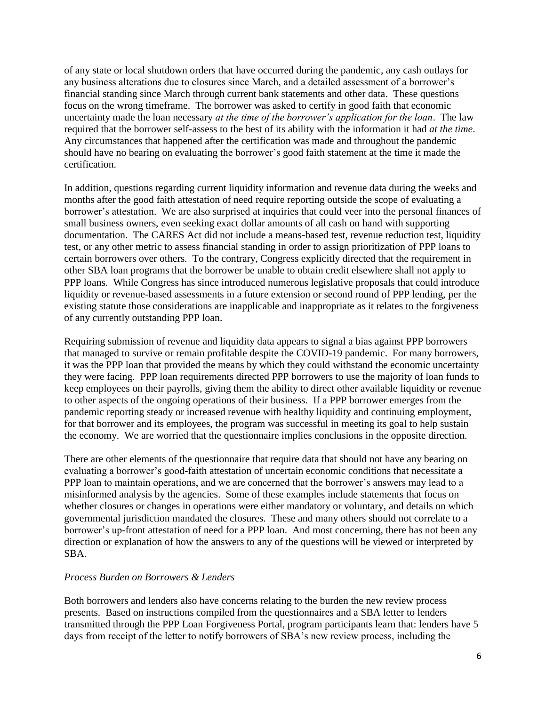of any state or local shutdown orders that have occurred during the pandemic, any cash outlays for any business alterations due to closures since March, and a detailed assessment of a borrower's financial standing since March through current bank statements and other data. These questions focus on the wrong timeframe. The borrower was asked to certify in good faith that economic uncertainty made the loan necessary *at the time of the borrower's application for the loan*. The law required that the borrower self-assess to the best of its ability with the information it had *at the time*. Any circumstances that happened after the certification was made and throughout the pandemic should have no bearing on evaluating the borrower's good faith statement at the time it made the certification.

In addition, questions regarding current liquidity information and revenue data during the weeks and months after the good faith attestation of need require reporting outside the scope of evaluating a borrower's attestation. We are also surprised at inquiries that could veer into the personal finances of small business owners, even seeking exact dollar amounts of all cash on hand with supporting documentation. The CARES Act did not include a means-based test, revenue reduction test, liquidity test, or any other metric to assess financial standing in order to assign prioritization of PPP loans to certain borrowers over others. To the contrary, Congress explicitly directed that the requirement in other SBA loan programs that the borrower be unable to obtain credit elsewhere shall not apply to PPP loans. While Congress has since introduced numerous legislative proposals that could introduce liquidity or revenue-based assessments in a future extension or second round of PPP lending, per the existing statute those considerations are inapplicable and inappropriate as it relates to the forgiveness of any currently outstanding PPP loan.

Requiring submission of revenue and liquidity data appears to signal a bias against PPP borrowers that managed to survive or remain profitable despite the COVID-19 pandemic. For many borrowers, it was the PPP loan that provided the means by which they could withstand the economic uncertainty they were facing. PPP loan requirements directed PPP borrowers to use the majority of loan funds to keep employees on their payrolls, giving them the ability to direct other available liquidity or revenue to other aspects of the ongoing operations of their business. If a PPP borrower emerges from the pandemic reporting steady or increased revenue with healthy liquidity and continuing employment, for that borrower and its employees, the program was successful in meeting its goal to help sustain the economy. We are worried that the questionnaire implies conclusions in the opposite direction.

There are other elements of the questionnaire that require data that should not have any bearing on evaluating a borrower's good-faith attestation of uncertain economic conditions that necessitate a PPP loan to maintain operations, and we are concerned that the borrower's answers may lead to a misinformed analysis by the agencies. Some of these examples include statements that focus on whether closures or changes in operations were either mandatory or voluntary, and details on which governmental jurisdiction mandated the closures. These and many others should not correlate to a borrower's up-front attestation of need for a PPP loan. And most concerning, there has not been any direction or explanation of how the answers to any of the questions will be viewed or interpreted by SBA.

### *Process Burden on Borrowers & Lenders*

Both borrowers and lenders also have concerns relating to the burden the new review process presents. Based on instructions compiled from the questionnaires and a SBA letter to lenders transmitted through the PPP Loan Forgiveness Portal, program participants learn that: lenders have 5 days from receipt of the letter to notify borrowers of SBA's new review process, including the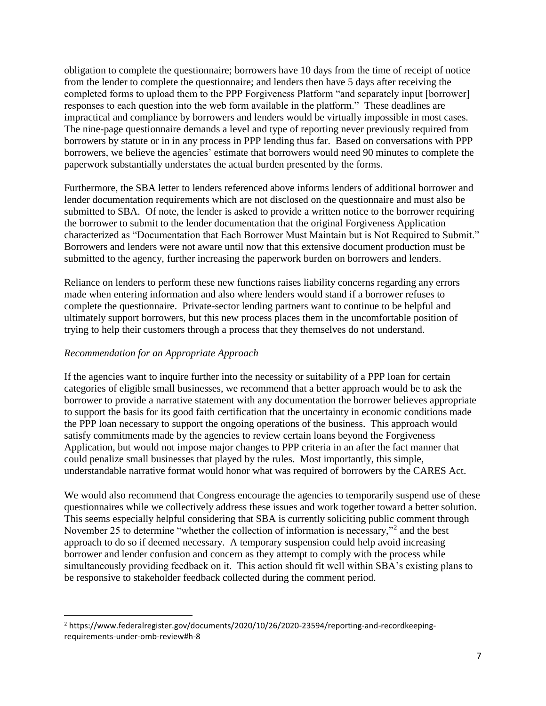obligation to complete the questionnaire; borrowers have 10 days from the time of receipt of notice from the lender to complete the questionnaire; and lenders then have 5 days after receiving the completed forms to upload them to the PPP Forgiveness Platform "and separately input [borrower] responses to each question into the web form available in the platform." These deadlines are impractical and compliance by borrowers and lenders would be virtually impossible in most cases. The nine-page questionnaire demands a level and type of reporting never previously required from borrowers by statute or in in any process in PPP lending thus far. Based on conversations with PPP borrowers, we believe the agencies' estimate that borrowers would need 90 minutes to complete the paperwork substantially understates the actual burden presented by the forms.

Furthermore, the SBA letter to lenders referenced above informs lenders of additional borrower and lender documentation requirements which are not disclosed on the questionnaire and must also be submitted to SBA. Of note, the lender is asked to provide a written notice to the borrower requiring the borrower to submit to the lender documentation that the original Forgiveness Application characterized as "Documentation that Each Borrower Must Maintain but is Not Required to Submit." Borrowers and lenders were not aware until now that this extensive document production must be submitted to the agency, further increasing the paperwork burden on borrowers and lenders.

Reliance on lenders to perform these new functions raises liability concerns regarding any errors made when entering information and also where lenders would stand if a borrower refuses to complete the questionnaire. Private-sector lending partners want to continue to be helpful and ultimately support borrowers, but this new process places them in the uncomfortable position of trying to help their customers through a process that they themselves do not understand.

# *Recommendation for an Appropriate Approach*

l

If the agencies want to inquire further into the necessity or suitability of a PPP loan for certain categories of eligible small businesses, we recommend that a better approach would be to ask the borrower to provide a narrative statement with any documentation the borrower believes appropriate to support the basis for its good faith certification that the uncertainty in economic conditions made the PPP loan necessary to support the ongoing operations of the business. This approach would satisfy commitments made by the agencies to review certain loans beyond the Forgiveness Application, but would not impose major changes to PPP criteria in an after the fact manner that could penalize small businesses that played by the rules. Most importantly, this simple, understandable narrative format would honor what was required of borrowers by the CARES Act.

We would also recommend that Congress encourage the agencies to temporarily suspend use of these questionnaires while we collectively address these issues and work together toward a better solution. This seems especially helpful considering that SBA is currently soliciting public comment through November 25 to determine "whether the collection of information is necessary,"<sup>2</sup> and the best approach to do so if deemed necessary. A temporary suspension could help avoid increasing borrower and lender confusion and concern as they attempt to comply with the process while simultaneously providing feedback on it. This action should fit well within SBA's existing plans to be responsive to stakeholder feedback collected during the comment period.

<sup>2</sup> https://www.federalregister.gov/documents/2020/10/26/2020-23594/reporting-and-recordkeepingrequirements-under-omb-review#h-8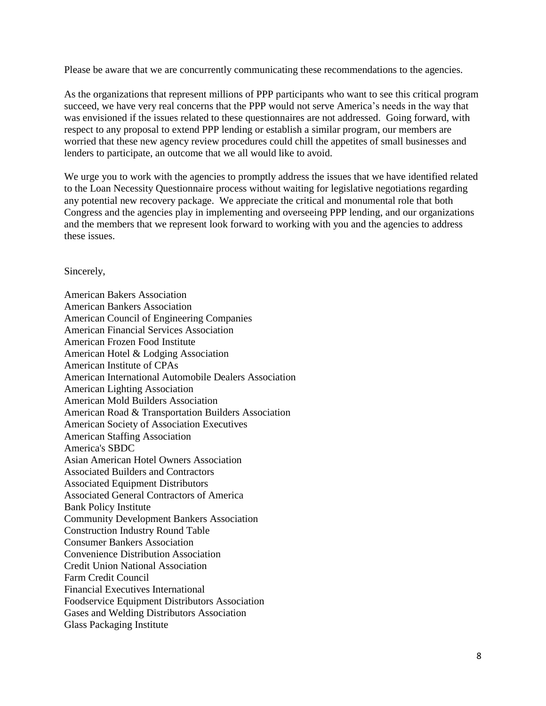Please be aware that we are concurrently communicating these recommendations to the agencies.

As the organizations that represent millions of PPP participants who want to see this critical program succeed, we have very real concerns that the PPP would not serve America's needs in the way that was envisioned if the issues related to these questionnaires are not addressed. Going forward, with respect to any proposal to extend PPP lending or establish a similar program, our members are worried that these new agency review procedures could chill the appetites of small businesses and lenders to participate, an outcome that we all would like to avoid.

We urge you to work with the agencies to promptly address the issues that we have identified related to the Loan Necessity Questionnaire process without waiting for legislative negotiations regarding any potential new recovery package. We appreciate the critical and monumental role that both Congress and the agencies play in implementing and overseeing PPP lending, and our organizations and the members that we represent look forward to working with you and the agencies to address these issues.

### Sincerely,

American Bakers Association American Bankers Association American Council of Engineering Companies American Financial Services Association American Frozen Food Institute American Hotel & Lodging Association American Institute of CPAs American International Automobile Dealers Association American Lighting Association American Mold Builders Association American Road & Transportation Builders Association American Society of Association Executives American Staffing Association America's SBDC Asian American Hotel Owners Association Associated Builders and Contractors Associated Equipment Distributors Associated General Contractors of America Bank Policy Institute Community Development Bankers Association Construction Industry Round Table Consumer Bankers Association Convenience Distribution Association Credit Union National Association Farm Credit Council Financial Executives International Foodservice Equipment Distributors Association Gases and Welding Distributors Association Glass Packaging Institute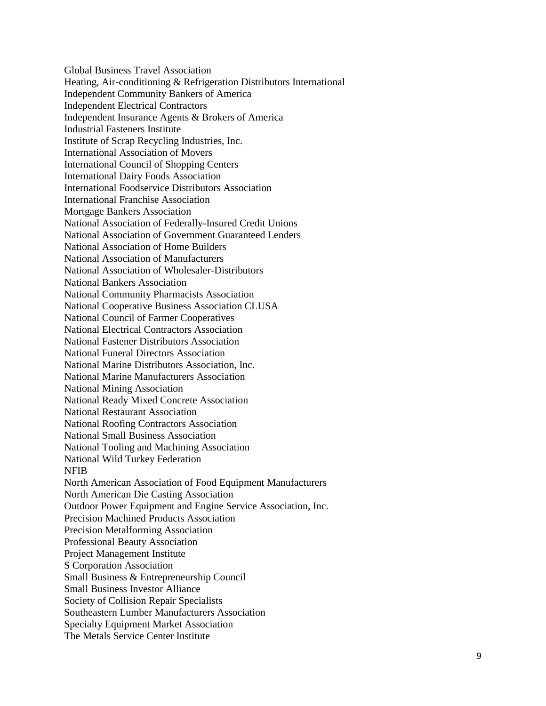Global Business Travel Association Heating, Air -conditioning & Refrigeration Distributors International Independent Community Bankers of America Independent Electrical Contractors Independent Insurance Agents & Brokers of America Industrial Fasteners Institute Institute of Scrap Recycling Industries, Inc. International Association of Movers International Council of Shopping Centers International Dairy Foods Association International Foodservice Distributors Association International Franchise Association Mortgage Bankers Association National Association of Federally -Insured Credit Unions National Association of Government Guaranteed Lenders National Association of Home Builders National Association of Manufacturers National Association of Wholesaler -Distributors National Bankers Association National Community Pharmacists Association National Cooperative Business Association CLUSA National Council of Farmer Cooperatives National Electrical Contractors Association National Fastener Distributors Association National Funeral Directors Association National Marine Distributors Association, Inc. National Marine Manufacturers Association National Mining Association National Ready Mixed Concrete Association National Restaurant Association National Roofing Contractors Association National Small Business Association National Tooling and Machining Association National Wild Turkey Federation NFIB North American Association of Food Equipment Manufacturers North American Die Casting Association Outdoor Power Equipment and Engine Service Association, Inc. Precision Machined Products Association Precision Metalforming Association Professional Beauty Association Project Management Institute S Corporation Association Small Business & Entrepreneurship Council Small Business Investor Alliance Society of Collision Repair Specialists Southeastern Lumber Manufacturers Association Specialty Equipment Market Association The Metals Service Center Institute